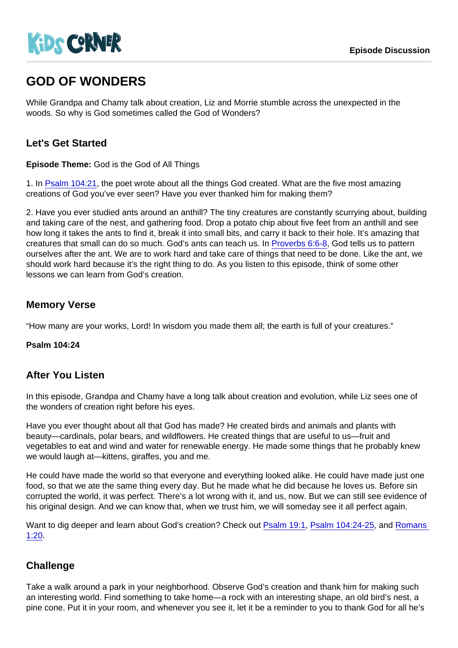# GOD OF WONDERS

While Grandpa and Chamy talk about creation, Liz and Morrie stumble across the unexpected in the woods. So why is God sometimes called the God of Wonders?

## Let's Get Started

Episode Theme: God is the God of All Things

1. In [Psalm 104:21,](https://www.biblegateway.com/passage/?search=Psalm+104:21) the poet wrote about all the things God created. What are the five most amazing creations of God you've ever seen? Have you ever thanked him for making them?

2. Have you ever studied ants around an anthill? The tiny creatures are constantly scurrying about, building and taking care of the nest, and gathering food. Drop a potato chip about five feet from an anthill and see how long it takes the ants to find it, break it into small bits, and carry it back to their hole. It's amazing that creatures that small can do so much. God's ants can teach us. In [Proverbs 6:6-8](https://www.biblegateway.com/passage/?search=Proverbs+6:6-8), God tells us to pattern ourselves after the ant. We are to work hard and take care of things that need to be done. Like the ant, we should work hard because it's the right thing to do. As you listen to this episode, think of some other lessons we can learn from God's creation.

## Memory Verse

"How many are your works, Lord! In wisdom you made them all; the earth is full of your creatures."

Psalm 104:24

#### After You Listen

In this episode, Grandpa and Chamy have a long talk about creation and evolution, while Liz sees one of the wonders of creation right before his eyes.

Have you ever thought about all that God has made? He created birds and animals and plants with beauty—cardinals, polar bears, and wildflowers. He created things that are useful to us—fruit and vegetables to eat and wind and water for renewable energy. He made some things that he probably knew we would laugh at—kittens, giraffes, you and me.

He could have made the world so that everyone and everything looked alike. He could have made just one food, so that we ate the same thing every day. But he made what he did because he loves us. Before sin corrupted the world, it was perfect. There's a lot wrong with it, and us, now. But we can still see evidence of his original design. And we can know that, when we trust him, we will someday see it all perfect again.

Want to dig deeper and learn about God's creation? Check out [Psalm 19:1](https://www.biblegateway.com/passage/?search=Psalm+19:1), [Psalm 104:24-25](https://www.biblegateway.com/passage/?search=Psalm+104:24-25), and Romans [1:20](https://www.biblegateway.com/passage/?search=Romans+1:20).

## **Challenge**

Take a walk around a park in your neighborhood. Observe God's creation and thank him for making such an interesting world. Find something to take home—a rock with an interesting shape, an old bird's nest, a pine cone. Put it in your room, and whenever you see it, let it be a reminder to you to thank God for all he's